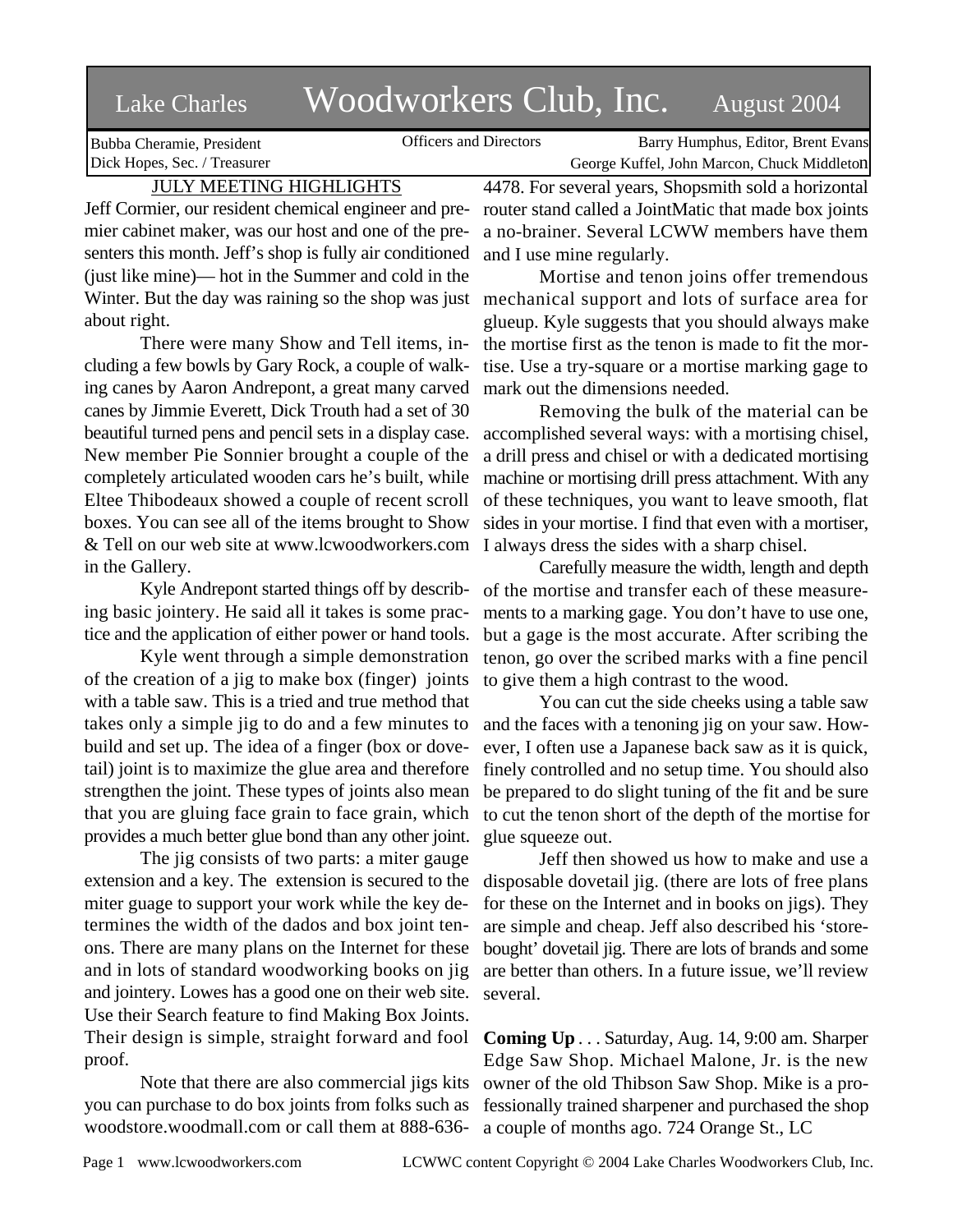# Lake Charles Woodworkers Club, Inc. August 2004

Bubba Cheramie, President Dick Hopes, Sec. / Treasurer

Officers and Directors Barry Humphus, Editor, Brent Evans George Kuffel, John Marcon, Chuck Middleton

# JULY MEETING HIGHLIGHTS

Jeff Cormier, our resident chemical engineer and premier cabinet maker, was our host and one of the presenters this month. Jeff's shop is fully air conditioned (just like mine)— hot in the Summer and cold in the Winter. But the day was raining so the shop was just about right.

There were many Show and Tell items, including a few bowls by Gary Rock, a couple of walking canes by Aaron Andrepont, a great many carved canes by Jimmie Everett, Dick Trouth had a set of 30 beautiful turned pens and pencil sets in a display case. New member Pie Sonnier brought a couple of the completely articulated wooden cars he's built, while Eltee Thibodeaux showed a couple of recent scroll boxes. You can see all of the items brought to Show & Tell on our web site at www.lcwoodworkers.com in the Gallery.

Kyle Andrepont started things off by describing basic jointery. He said all it takes is some practice and the application of either power or hand tools.

Kyle went through a simple demonstration of the creation of a jig to make box (finger) joints with a table saw. This is a tried and true method that takes only a simple jig to do and a few minutes to build and set up. The idea of a finger (box or dovetail) joint is to maximize the glue area and therefore strengthen the joint. These types of joints also mean that you are gluing face grain to face grain, which provides a much better glue bond than any other joint.

The jig consists of two parts: a miter gauge extension and a key. The extension is secured to the miter guage to support your work while the key determines the width of the dados and box joint tenons. There are many plans on the Internet for these and in lots of standard woodworking books on jig and jointery. Lowes has a good one on their web site. Use their Search feature to find Making Box Joints. Their design is simple, straight forward and fool proof.

Note that there are also commercial jigs kits you can purchase to do box joints from folks such as woodstore.woodmall.com or call them at 888-6364478. For several years, Shopsmith sold a horizontal router stand called a JointMatic that made box joints a no-brainer. Several LCWW members have them and I use mine regularly.

Mortise and tenon joins offer tremendous mechanical support and lots of surface area for glueup. Kyle suggests that you should always make the mortise first as the tenon is made to fit the mortise. Use a try-square or a mortise marking gage to mark out the dimensions needed.

Removing the bulk of the material can be accomplished several ways: with a mortising chisel, a drill press and chisel or with a dedicated mortising machine or mortising drill press attachment. With any of these techniques, you want to leave smooth, flat sides in your mortise. I find that even with a mortiser, I always dress the sides with a sharp chisel.

Carefully measure the width, length and depth of the mortise and transfer each of these measurements to a marking gage. You don't have to use one, but a gage is the most accurate. After scribing the tenon, go over the scribed marks with a fine pencil to give them a high contrast to the wood.

You can cut the side cheeks using a table saw and the faces with a tenoning jig on your saw. However, I often use a Japanese back saw as it is quick, finely controlled and no setup time. You should also be prepared to do slight tuning of the fit and be sure to cut the tenon short of the depth of the mortise for glue squeeze out.

Jeff then showed us how to make and use a disposable dovetail jig. (there are lots of free plans for these on the Internet and in books on jigs). They are simple and cheap. Jeff also described his 'storebought' dovetail jig. There are lots of brands and some are better than others. In a future issue, we'll review several.

**Coming Up** . . . Saturday, Aug. 14, 9:00 am. Sharper Edge Saw Shop. Michael Malone, Jr. is the new owner of the old Thibson Saw Shop. Mike is a professionally trained sharpener and purchased the shop a couple of months ago. 724 Orange St., LC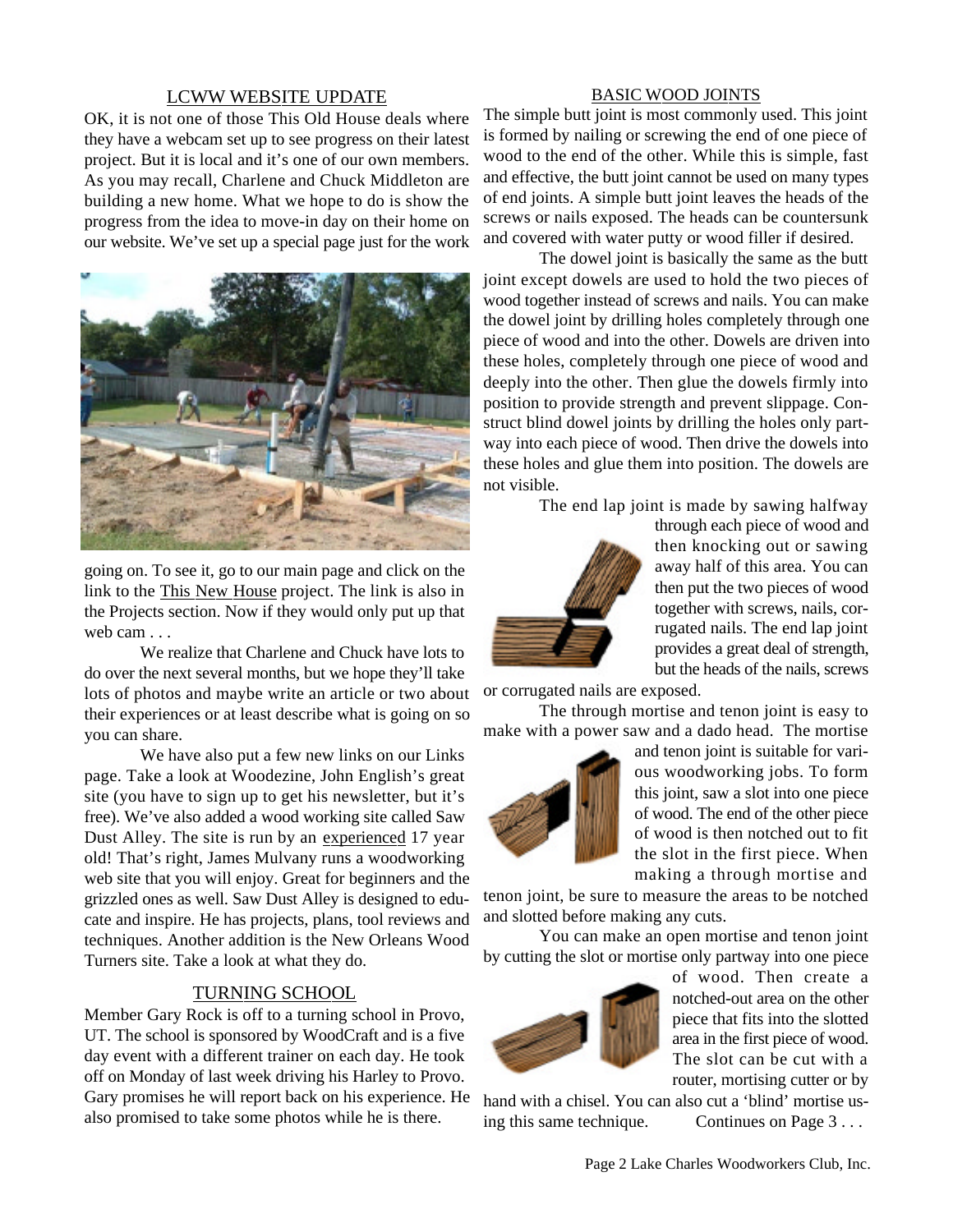## LCWW WEBSITE UPDATE

OK, it is not one of those This Old House deals where they have a webcam set up to see progress on their latest project. But it is local and it's one of our own members. As you may recall, Charlene and Chuck Middleton are building a new home. What we hope to do is show the progress from the idea to move-in day on their home on our website. We've set up a special page just for the work



going on. To see it, go to our main page and click on the link to the This New House project. The link is also in the Projects section. Now if they would only put up that web cam . . .

We realize that Charlene and Chuck have lots to do over the next several months, but we hope they'll take lots of photos and maybe write an article or two about their experiences or at least describe what is going on so you can share.

We have also put a few new links on our Links page. Take a look at Woodezine, John English's great site (you have to sign up to get his newsletter, but it's free). We've also added a wood working site called Saw Dust Alley. The site is run by an experienced 17 year old! That's right, James Mulvany runs a woodworking web site that you will enjoy. Great for beginners and the grizzled ones as well. Saw Dust Alley is designed to educate and inspire. He has projects, plans, tool reviews and techniques. Another addition is the New Orleans Wood Turners site. Take a look at what they do.

# TURNING SCHOOL

Member Gary Rock is off to a turning school in Provo, UT. The school is sponsored by WoodCraft and is a five day event with a different trainer on each day. He took off on Monday of last week driving his Harley to Provo. Gary promises he will report back on his experience. He also promised to take some photos while he is there.

#### BASIC WOOD JOINTS

The simple butt joint is most commonly used. This joint is formed by nailing or screwing the end of one piece of wood to the end of the other. While this is simple, fast and effective, the butt joint cannot be used on many types of end joints. A simple butt joint leaves the heads of the screws or nails exposed. The heads can be countersunk and covered with water putty or wood filler if desired.

The dowel joint is basically the same as the butt joint except dowels are used to hold the two pieces of wood together instead of screws and nails. You can make the dowel joint by drilling holes completely through one piece of wood and into the other. Dowels are driven into these holes, completely through one piece of wood and deeply into the other. Then glue the dowels firmly into position to provide strength and prevent slippage. Construct blind dowel joints by drilling the holes only partway into each piece of wood. Then drive the dowels into these holes and glue them into position. The dowels are not visible.

The end lap joint is made by sawing halfway



through each piece of wood and then knocking out or sawing away half of this area. You can then put the two pieces of wood together with screws, nails, corrugated nails. The end lap joint provides a great deal of strength, but the heads of the nails, screws

or corrugated nails are exposed.

The through mortise and tenon joint is easy to make with a power saw and a dado head. The mortise



and tenon joint is suitable for various woodworking jobs. To form this joint, saw a slot into one piece of wood. The end of the other piece of wood is then notched out to fit the slot in the first piece. When making a through mortise and

tenon joint, be sure to measure the areas to be notched and slotted before making any cuts.

You can make an open mortise and tenon joint by cutting the slot or mortise only partway into one piece



of wood. Then create a notched-out area on the other piece that fits into the slotted area in the first piece of wood. The slot can be cut with a router, mortising cutter or by

hand with a chisel. You can also cut a 'blind' mortise using this same technique. Continues on Page 3...